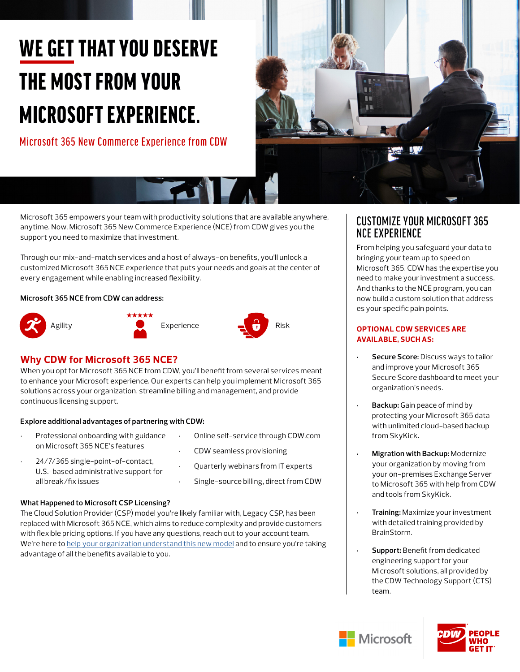# WE GET THAT YOU DESERVE THE MOST FROM YOUR MICROSOFT EXPERIENCE.

Microsoft 365 New Commerce Experience from CDW



Microsoft 365 empowers your team with productivity solutions that are available anywhere, anytime. Now, Microsoft 365 New Commerce Experience (NCE) from CDW gives you the support you need to maximize that investment.

Through our mix-and-match services and a host of always-on benefits, you'll unlock a customized Microsoft 365 NCE experience that puts your needs and goals at the center of every engagement while enabling increased flexibility.

#### **Microsoft 365 NCE from CDW can address:**









When you opt for Microsoft 365 NCE from CDW, you'll benefit from several services meant to enhance your Microsoft experience. Our experts can help you implement Microsoft 365 solutions across your organization, streamline billing and management, and provide continuous licensing support.

## **Explore additional advantages of partnering with CDW:**

- Professional onboarding with guidance on Microsoft 365 NCE's features
- 24/7/365 single-point-of-contact, U.S.-based administrative support for all break/fix issues
- Online self-service through CDW.com • CDW seamless provisioning
- Quarterly webinars from IT experts
- Single-source billing, direct from CDW

## **What Happened to Microsoft CSP Licensing?**

The Cloud Solution Provider (CSP) model you're likely familiar with, Legacy CSP, has been replaced with Microsoft 365 NCE, which aims to reduce complexity and provide customers with flexible pricing options. If you have any questions, reach out to your account team. We're here to [help your organization understand this new model](https://www.cdw.com/content/cdw/en/articles/software/microsoft-365-new-commerce-experience.html) and to ensure you're taking advantage of all the benefits available to you.

## CUSTOMIZE YOUR MICROSOFT 365 NCE EXPERIENCE

From helping you safeguard your data to bringing your team up to speed on Microsoft 365, CDW has the expertise you need to make your investment a success. And thanks to the NCE program, you can now build a custom solution that addresses your specific pain points.

#### **OPTIONAL CDW SERVICES ARE AVAILABLE, SUCH AS:**

- **• Secure Score:** Discuss ways to tailor and improve your Microsoft 365 Secure Score dashboard to meet your organization's needs.
- **• Backup:** Gain peace of mind by protecting your Microsoft 365 data with unlimited cloud-based backup from SkyKick.
- **• Migration with Backup:** Modernize your organization by moving from your on-premises Exchange Server to Microsoft 365 with help from CDW and tools from SkyKick.
- **• Training:** Maximize your investment with detailed training provided by BrainStorm.
- **• Support:** Benefit from dedicated engineering support for your Microsoft solutions, all provided by the CDW Technology Support (CTS) team.